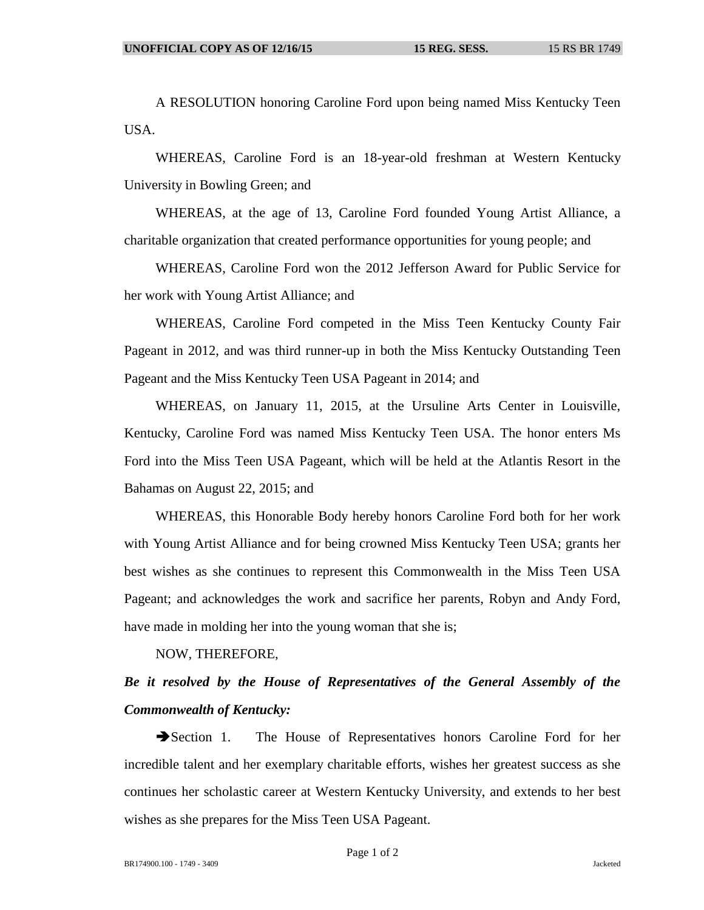A RESOLUTION honoring Caroline Ford upon being named Miss Kentucky Teen USA.

WHEREAS, Caroline Ford is an 18-year-old freshman at Western Kentucky University in Bowling Green; and

WHEREAS, at the age of 13, Caroline Ford founded Young Artist Alliance, a charitable organization that created performance opportunities for young people; and

WHEREAS, Caroline Ford won the 2012 Jefferson Award for Public Service for her work with Young Artist Alliance; and

WHEREAS, Caroline Ford competed in the Miss Teen Kentucky County Fair Pageant in 2012, and was third runner-up in both the Miss Kentucky Outstanding Teen Pageant and the Miss Kentucky Teen USA Pageant in 2014; and

WHEREAS, on January 11, 2015, at the Ursuline Arts Center in Louisville, Kentucky, Caroline Ford was named Miss Kentucky Teen USA. The honor enters Ms Ford into the Miss Teen USA Pageant, which will be held at the Atlantis Resort in the Bahamas on August 22, 2015; and

WHEREAS, this Honorable Body hereby honors Caroline Ford both for her work with Young Artist Alliance and for being crowned Miss Kentucky Teen USA; grants her best wishes as she continues to represent this Commonwealth in the Miss Teen USA Pageant; and acknowledges the work and sacrifice her parents, Robyn and Andy Ford, have made in molding her into the young woman that she is;

NOW, THEREFORE,

## *Be it resolved by the House of Representatives of the General Assembly of the Commonwealth of Kentucky:*

Section 1. The House of Representatives honors Caroline Ford for her incredible talent and her exemplary charitable efforts, wishes her greatest success as she continues her scholastic career at Western Kentucky University, and extends to her best wishes as she prepares for the Miss Teen USA Pageant.